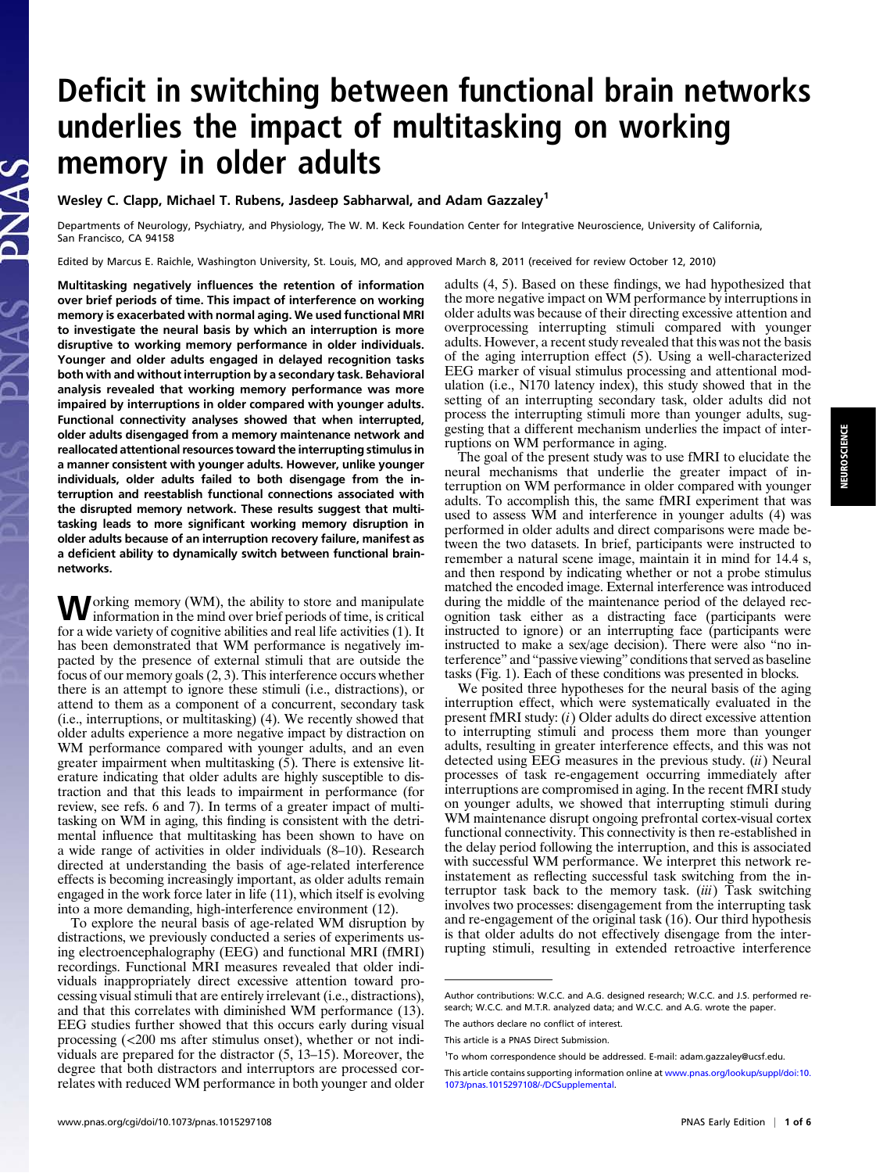## Deficit in switching between functional brain networks underlies the impact of multitasking on working memory in older adults

Wesley C. Clapp, Michael T. Rubens, Jasdeep Sabharwal, and Adam Gazzaley<sup>1</sup>

Departments of Neurology, Psychiatry, and Physiology, The W. M. Keck Foundation Center for Integrative Neuroscience, University of California, San Francisco, CA 94158

Edited by Marcus E. Raichle, Washington University, St. Louis, MO, and approved March 8, 2011 (received for review October 12, 2010)

Multitasking negatively influences the retention of information over brief periods of time. This impact of interference on working memory is exacerbated with normal aging. We used functional MRI to investigate the neural basis by which an interruption is more disruptive to working memory performance in older individuals. Younger and older adults engaged in delayed recognition tasks both with and without interruption by a secondary task. Behavioral analysis revealed that working memory performance was more impaired by interruptions in older compared with younger adults. Functional connectivity analyses showed that when interrupted, older adults disengaged from a memory maintenance network and reallocated attentional resources toward the interrupting stimulus in a manner consistent with younger adults. However, unlike younger individuals, older adults failed to both disengage from the interruption and reestablish functional connections associated with the disrupted memory network. These results suggest that multitasking leads to more significant working memory disruption in older adults because of an interruption recovery failure, manifest as a deficient ability to dynamically switch between functional brainnetworks.

Working memory (WM), the ability to store and manipulate information in the mind over brief periods of time, is critical for a wide variety of cognitive abilities and real life activities (1). It has been demonstrated that WM performance is negatively impacted by the presence of external stimuli that are outside the focus of our memory goals (2, 3). This interference occurs whether there is an attempt to ignore these stimuli (i.e., distractions), or attend to them as a component of a concurrent, secondary task (i.e., interruptions, or multitasking) (4). We recently showed that older adults experience a more negative impact by distraction on WM performance compared with younger adults, and an even greater impairment when multitasking (5). There is extensive literature indicating that older adults are highly susceptible to distraction and that this leads to impairment in performance (for review, see refs. 6 and 7). In terms of a greater impact of multitasking on WM in aging, this finding is consistent with the detrimental influence that multitasking has been shown to have on a wide range of activities in older individuals (8–10). Research directed at understanding the basis of age-related interference effects is becoming increasingly important, as older adults remain engaged in the work force later in life (11), which itself is evolving into a more demanding, high-interference environment (12).

To explore the neural basis of age-related WM disruption by distractions, we previously conducted a series of experiments using electroencephalography (EEG) and functional MRI (fMRI) recordings. Functional MRI measures revealed that older individuals inappropriately direct excessive attention toward processing visual stimuli that are entirely irrelevant (i.e., distractions), and that this correlates with diminished WM performance (13). EEG studies further showed that this occurs early during visual processing (<200 ms after stimulus onset), whether or not individuals are prepared for the distractor (5, 13–15). Moreover, the degree that both distractors and interruptors are processed correlates with reduced WM performance in both younger and older adults (4, 5). Based on these findings, we had hypothesized that the more negative impact on WM performance by interruptions in older adults was because of their directing excessive attention and overprocessing interrupting stimuli compared with younger adults. However, a recent study revealed that this was not the basis of the aging interruption effect (5). Using a well-characterized EEG marker of visual stimulus processing and attentional modulation (i.e., N170 latency index), this study showed that in the setting of an interrupting secondary task, older adults did not process the interrupting stimuli more than younger adults, suggesting that a different mechanism underlies the impact of interruptions on WM performance in aging.

The goal of the present study was to use fMRI to elucidate the neural mechanisms that underlie the greater impact of interruption on WM performance in older compared with younger adults. To accomplish this, the same fMRI experiment that was used to assess WM and interference in younger adults (4) was performed in older adults and direct comparisons were made between the two datasets. In brief, participants were instructed to remember a natural scene image, maintain it in mind for 14.4 s, and then respond by indicating whether or not a probe stimulus matched the encoded image. External interference was introduced during the middle of the maintenance period of the delayed recognition task either as a distracting face (participants were instructed to ignore) or an interrupting face (participants were instructed to make a sex/age decision). There were also "no interference" and "passive viewing" conditions that served as baseline tasks (Fig. 1). Each of these conditions was presented in blocks.

We posited three hypotheses for the neural basis of the aging interruption effect, which were systematically evaluated in the present fMRI study: (i) Older adults do direct excessive attention to interrupting stimuli and process them more than younger adults, resulting in greater interference effects, and this was not detected using EEG measures in the previous study.  $(ii)$  Neural processes of task re-engagement occurring immediately after interruptions are compromised in aging. In the recent fMRI study on younger adults, we showed that interrupting stimuli during WM maintenance disrupt ongoing prefrontal cortex-visual cortex functional connectivity. This connectivity is then re-established in the delay period following the interruption, and this is associated with successful WM performance. We interpret this network reinstatement as reflecting successful task switching from the interruptor task back to the memory task. (iii) Task switching involves two processes: disengagement from the interrupting task and re-engagement of the original task (16). Our third hypothesis is that older adults do not effectively disengage from the interrupting stimuli, resulting in extended retroactive interference

Author contributions: W.C.C. and A.G. designed research; W.C.C. and J.S. performed research; W.C.C. and M.T.R. analyzed data; and W.C.C. and A.G. wrote the paper.

The authors declare no conflict of interest.

This article is a PNAS Direct Submission.

<sup>&</sup>lt;sup>1</sup>To whom correspondence should be addressed. E-mail: [adam.gazzaley@ucsf.edu](mailto:adam.gazzaley@ucsf.edu).

This article contains supporting information online at [www.pnas.org/lookup/suppl/doi:10.](http://www.pnas.org/lookup/suppl/doi:10.1073/pnas.1015297108/-/DCSupplemental) [1073/pnas.1015297108/-/DCSupplemental](http://www.pnas.org/lookup/suppl/doi:10.1073/pnas.1015297108/-/DCSupplemental).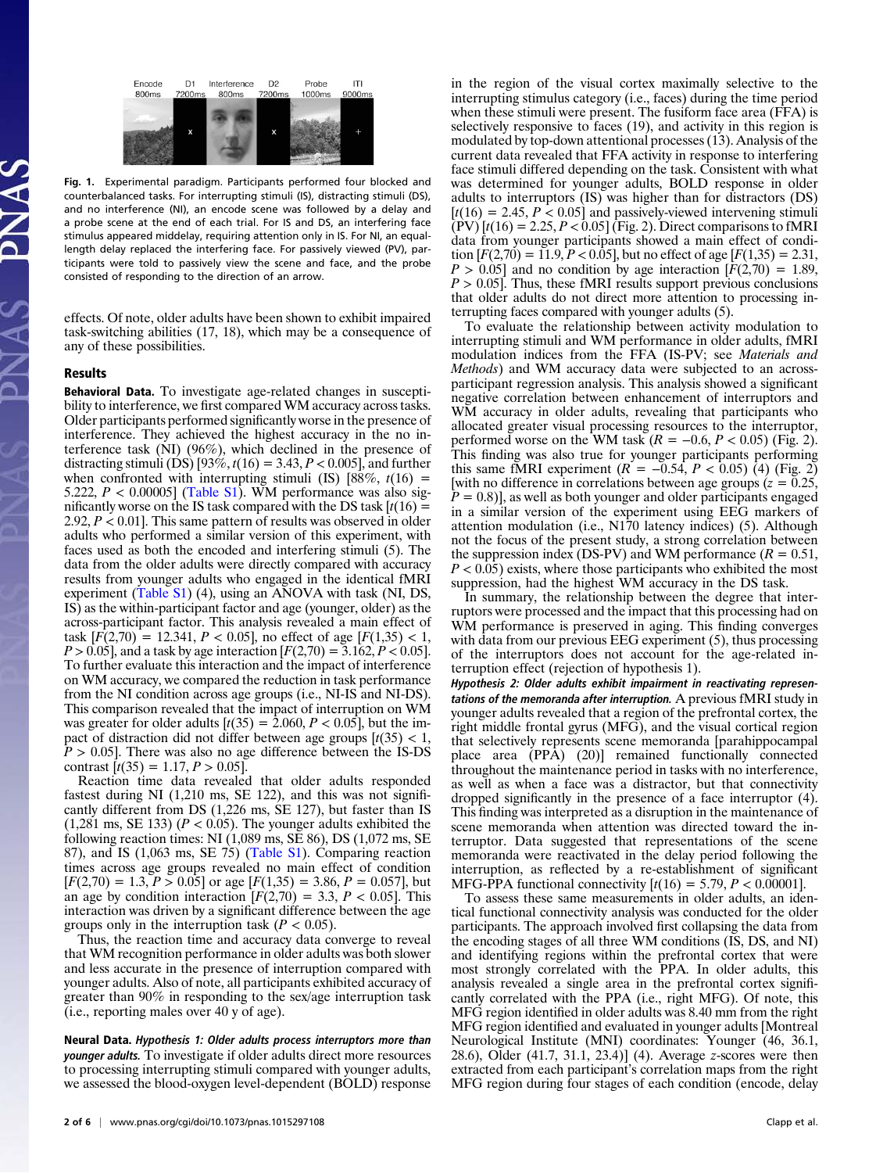

Fig. 1. Experimental paradigm. Participants performed four blocked and counterbalanced tasks. For interrupting stimuli (IS), distracting stimuli (DS), and no interference (NI), an encode scene was followed by a delay and a probe scene at the end of each trial. For IS and DS, an interfering face stimulus appeared middelay, requiring attention only in IS. For NI, an equallength delay replaced the interfering face. For passively viewed (PV), participants were told to passively view the scene and face, and the probe consisted of responding to the direction of an arrow.

effects. Of note, older adults have been shown to exhibit impaired task-switching abilities (17, 18), which may be a consequence of any of these possibilities.

## Results

Behavioral Data. To investigate age-related changes in susceptibility to interference, we first compared WM accuracy across tasks. Older participants performed significantly worse in the presence of interference. They achieved the highest accuracy in the no interference task (NI) (96%), which declined in the presence of distracting stimuli (DS) [93%,  $t(16) = 3.43, P < 0.005$ ], and further when confronted with interrupting stimuli (IS) [88%,  $t(16)$  = 5.222,  $P < 0.00005$  ([Table S1](http://www.pnas.org/lookup/suppl/doi:10.1073/pnas.1015297108/-/DCSupplemental/pnas.201015297SI.pdf?targetid=nameddest=ST1)). WM performance was also significantly worse on the IS task compared with the DS task  $[t(16) =$ 2.92,  $P < 0.01$ ]. This same pattern of results was observed in older adults who performed a similar version of this experiment, with faces used as both the encoded and interfering stimuli (5). The data from the older adults were directly compared with accuracy results from younger adults who engaged in the identical fMRI experiment [\(Table S1\)](http://www.pnas.org/lookup/suppl/doi:10.1073/pnas.1015297108/-/DCSupplemental/pnas.201015297SI.pdf?targetid=nameddest=ST1) (4), using an ANOVA with task (NI, DS, IS) as the within-participant factor and age (younger, older) as the across-participant factor. This analysis revealed a main effect of task  $[F(2,70) = 12.341, P < 0.05]$ , no effect of age  $[F(1,35) < 1,$  $P > 0.05$ ], and a task by age interaction  $[F(2,70) = 3.162, P < 0.05]$ . To further evaluate this interaction and the impact of interference on WM accuracy, we compared the reduction in task performance from the NI condition across age groups (i.e., NI-IS and NI-DS). This comparison revealed that the impact of interruption on WM was greater for older adults  $[t(35) = 2.060, P < 0.05]$ , but the impact of distraction did not differ between age groups  $[t(35) < 1,$  $P > 0.05$ . There was also no age difference between the IS-DS contrast  $[t(35) = 1.17, P > 0.05]$ .

Reaction time data revealed that older adults responded fastest during NI (1,210 ms, SE 122), and this was not significantly different from DS (1,226 ms, SE 127), but faster than IS  $(1,281 \text{ ms}, \text{SE } 133)$  ( $P < 0.05$ ). The younger adults exhibited the following reaction times: NI (1,089 ms, SE 86), DS (1,072 ms, SE 87), and IS (1,063 ms, SE 75) [\(Table S1\)](http://www.pnas.org/lookup/suppl/doi:10.1073/pnas.1015297108/-/DCSupplemental/pnas.201015297SI.pdf?targetid=nameddest=ST1). Comparing reaction times across age groups revealed no main effect of condition  $[F(2,70) = 1.3, P > 0.05]$  or age  $[F(1,35) = 3.86, P = 0.057]$ , but an age by condition interaction  $[*F*(2,70) = 3.3, *P* < 0.05]$ . This interaction was driven by a significant difference between the age groups only in the interruption task ( $P < 0.05$ ).

Thus, the reaction time and accuracy data converge to reveal that WM recognition performance in older adults was both slower and less accurate in the presence of interruption compared with younger adults. Also of note, all participants exhibited accuracy of greater than 90% in responding to the sex/age interruption task (i.e., reporting males over 40 y of age).

Neural Data. Hypothesis 1: Older adults process interruptors more than younger adults. To investigate if older adults direct more resources to processing interrupting stimuli compared with younger adults, we assessed the blood-oxygen level-dependent (BOLD) response in the region of the visual cortex maximally selective to the interrupting stimulus category (i.e., faces) during the time period when these stimuli were present. The fusiform face area (FFA) is selectively responsive to faces (19), and activity in this region is modulated by top-down attentional processes (13). Analysis of the current data revealed that FFA activity in response to interfering face stimuli differed depending on the task. Consistent with what was determined for younger adults, BOLD response in older adults to interruptors (IS) was higher than for distractors (DS)  $[t(16) = 2.45, P < 0.05]$  and passively-viewed intervening stimuli  $(PV)$  [ $t(16) = 2.25, P < 0.05$ ] (Fig. 2). Direct comparisons to fMRI data from younger participants showed a main effect of condition  $[F(2,70) = 11.9, P < 0.05]$ , but no effect of age  $[F(1,35) = 2.31,$  $P > 0.05$ ] and no condition by age interaction  $[\bar{F}(2,70) = 1.89]$ ,  $P > 0.05$ . Thus, these fMRI results support previous conclusions that older adults do not direct more attention to processing interrupting faces compared with younger adults (5).

To evaluate the relationship between activity modulation to interrupting stimuli and WM performance in older adults, fMRI modulation indices from the FFA (IS-PV; see Materials and Methods) and WM accuracy data were subjected to an acrossparticipant regression analysis. This analysis showed a significant negative correlation between enhancement of interruptors and WM accuracy in older adults, revealing that participants who allocated greater visual processing resources to the interruptor, performed worse on the WM task  $(R = -0.6, P < 0.05)$  (Fig. 2). This finding was also true for younger participants performing this same fMRI experiment ( $R = -0.54, P < 0.05$ ) (4) (Fig. 2) [with no difference in correlations between age groups ( $z = 0.25$ ,  $P = 0.8$ ], as well as both younger and older participants engaged in a similar version of the experiment using EEG markers of attention modulation (i.e., N170 latency indices) (5). Although not the focus of the present study, a strong correlation between the suppression index (DS-PV) and WM performance ( $R = 0.51$ ,  $P < 0.05$ ) exists, where those participants who exhibited the most suppression, had the highest WM accuracy in the DS task.

In summary, the relationship between the degree that interruptors were processed and the impact that this processing had on WM performance is preserved in aging. This finding converges with data from our previous EEG experiment (5), thus processing of the interruptors does not account for the age-related interruption effect (rejection of hypothesis 1).

Hypothesis 2: Older adults exhibit impairment in reactivating representations of the memoranda after interruption. A previous fMRI study in younger adults revealed that a region of the prefrontal cortex, the right middle frontal gyrus (MFG), and the visual cortical region that selectively represents scene memoranda [parahippocampal place area (PPA) (20)] remained functionally connected throughout the maintenance period in tasks with no interference, as well as when a face was a distractor, but that connectivity dropped significantly in the presence of a face interruptor (4). This finding was interpreted as a disruption in the maintenance of scene memoranda when attention was directed toward the interruptor. Data suggested that representations of the scene memoranda were reactivated in the delay period following the interruption, as reflected by a re-establishment of significant MFG-PPA functional connectivity  $[t(16) = 5.79, P < 0.00001]$ .

To assess these same measurements in older adults, an identical functional connectivity analysis was conducted for the older participants. The approach involved first collapsing the data from the encoding stages of all three WM conditions (IS, DS, and NI) and identifying regions within the prefrontal cortex that were most strongly correlated with the PPA. In older adults, this analysis revealed a single area in the prefrontal cortex significantly correlated with the PPA (i.e., right MFG). Of note, this MFG region identified in older adults was 8.40 mm from the right MFG region identified and evaluated in younger adults [Montreal Neurological Institute (MNI) coordinates: Younger (46, 36.1, 28.6), Older (41.7, 31.1, 23.4)] (4). Average z-scores were then extracted from each participant's correlation maps from the right MFG region during four stages of each condition (encode, delay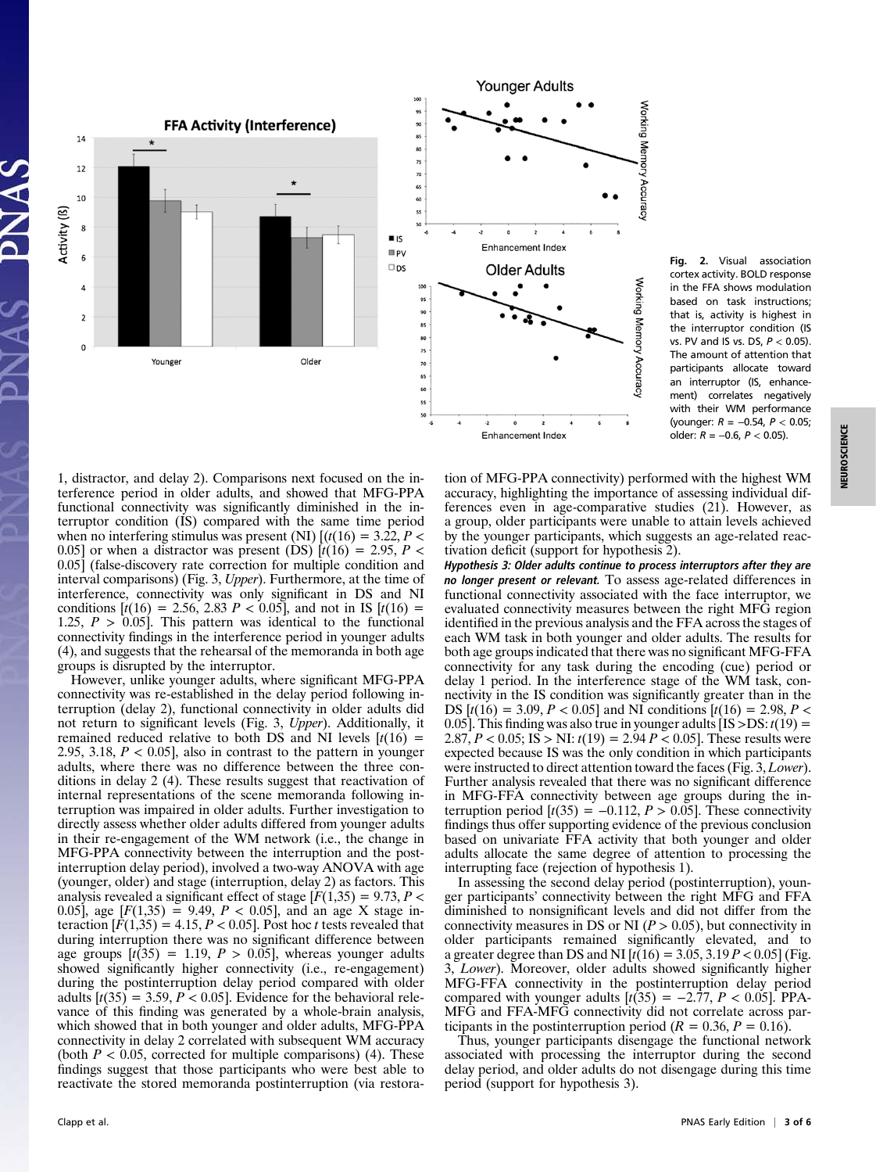

Fig. 2. Visual association cortex activity. BOLD response in the FFA shows modulation based on task instructions; that is, activity is highest in the interruptor condition (IS vs. PV and IS vs. DS,  $P < 0.05$ ). The amount of attention that participants allocate toward an interruptor (IS, enhancement) correlates negatively with their WM performance (younger:  $R = -0.54$ ,  $P < 0.05$ ; older:  $R = -0.6$ ,  $P < 0.05$ ).



1, distractor, and delay 2). Comparisons next focused on the interference period in older adults, and showed that MFG-PPA functional connectivity was significantly diminished in the interruptor condition (IS) compared with the same time period when no interfering stimulus was present (NI)  $[(t(16) = 3.22, P <$ 0.05] or when a distractor was present (DS)  $\left[t(16) = 2.95, P \right]$ 0.05] (false-discovery rate correction for multiple condition and interval comparisons) (Fig. 3, Upper). Furthermore, at the time of interference, connectivity was only significant in DS and NI conditions  $[t(16) = 2.56, 2.83 \, P < 0.05]$ , and not in IS  $[t(16) =$ 1.25,  $P > 0.05$ . This pattern was identical to the functional connectivity findings in the interference period in younger adults (4), and suggests that the rehearsal of the memoranda in both age groups is disrupted by the interruptor.

However, unlike younger adults, where significant MFG-PPA connectivity was re-established in the delay period following interruption (delay 2), functional connectivity in older adults did not return to significant levels (Fig. 3, Upper). Additionally, it remained reduced relative to both DS and NI levels  $[t(16) =$ 2.95, 3.18,  $P < 0.05$ ], also in contrast to the pattern in younger adults, where there was no difference between the three conditions in delay 2 (4). These results suggest that reactivation of internal representations of the scene memoranda following interruption was impaired in older adults. Further investigation to directly assess whether older adults differed from younger adults in their re-engagement of the WM network (i.e., the change in MFG-PPA connectivity between the interruption and the postinterruption delay period), involved a two-way ANOVA with age (younger, older) and stage (interruption, delay 2) as factors. This analysis revealed a significant effect of stage  $[F(1,35) = 9.73, P <$ 0.05], age  $[F(1,35) = 9.49, P < 0.05]$ , and an age X stage interaction  $\left[\overline{F(1,35)}\right] = 4.15, P < 0.05$ . Post hoc t tests revealed that during interruption there was no significant difference between age groups  $[t(35) = 1.19, P > 0.05]$ , whereas younger adults showed significantly higher connectivity (i.e., re-engagement) during the postinterruption delay period compared with older adults  $[t(35) = 3.59, P < 0.05]$ . Evidence for the behavioral relevance of this finding was generated by a whole-brain analysis, which showed that in both younger and older adults, MFG-PPA connectivity in delay 2 correlated with subsequent WM accuracy (both  $P < 0.05$ , corrected for multiple comparisons) (4). These findings suggest that those participants who were best able to reactivate the stored memoranda postinterruption (via restoration of MFG-PPA connectivity) performed with the highest WM accuracy, highlighting the importance of assessing individual differences even in age-comparative studies (21). However, as a group, older participants were unable to attain levels achieved by the younger participants, which suggests an age-related reactivation deficit (support for hypothesis 2).

Hypothesis 3: Older adults continue to process interruptors after they are no longer present or relevant. To assess age-related differences in functional connectivity associated with the face interruptor, we evaluated connectivity measures between the right MFG region identified in the previous analysis and the FFA across the stages of each WM task in both younger and older adults. The results for both age groups indicated that there was no significant MFG-FFA connectivity for any task during the encoding (cue) period or delay 1 period. In the interference stage of the WM task, connectivity in the IS condition was significantly greater than in the DS  $[t(16) = 3.09, P < 0.05]$  and NI conditions  $[t(16) = 2.98, P <$ 0.05]. This finding was also true in younger adults  $[IS > DS: t(19) =$ 2.87,  $P < 0.05$ ; IS > NI:  $t(19) = 2.94 P < 0.05$ ]. These results were expected because IS was the only condition in which participants were instructed to direct attention toward the faces (Fig. 3, Lower). Further analysis revealed that there was no significant difference in MFG-FFA connectivity between age groups during the interruption period  $[t(35) = -0.112, P > 0.05]$ . These connectivity findings thus offer supporting evidence of the previous conclusion based on univariate FFA activity that both younger and older adults allocate the same degree of attention to processing the interrupting face (rejection of hypothesis 1).

In assessing the second delay period (postinterruption), younger participants' connectivity between the right MFG and FFA diminished to nonsignificant levels and did not differ from the connectivity measures in DS or NI ( $P > 0.05$ ), but connectivity in older participants remained significantly elevated, and to a greater degree than DS and NI  $[t(16) = 3.05, 3.19 P < 0.05]$  (Fig. 3, Lower). Moreover, older adults showed significantly higher MFG-FFA connectivity in the postinterruption delay period compared with younger adults  $[t(35) = -2.77, P < 0.05]$ . PPA-MFG and FFA-MFG connectivity did not correlate across participants in the postinterruption period ( $R = 0.36, P = 0.16$ ).

Thus, younger participants disengage the functional network associated with processing the interruptor during the second delay period, and older adults do not disengage during this time period (support for hypothesis 3).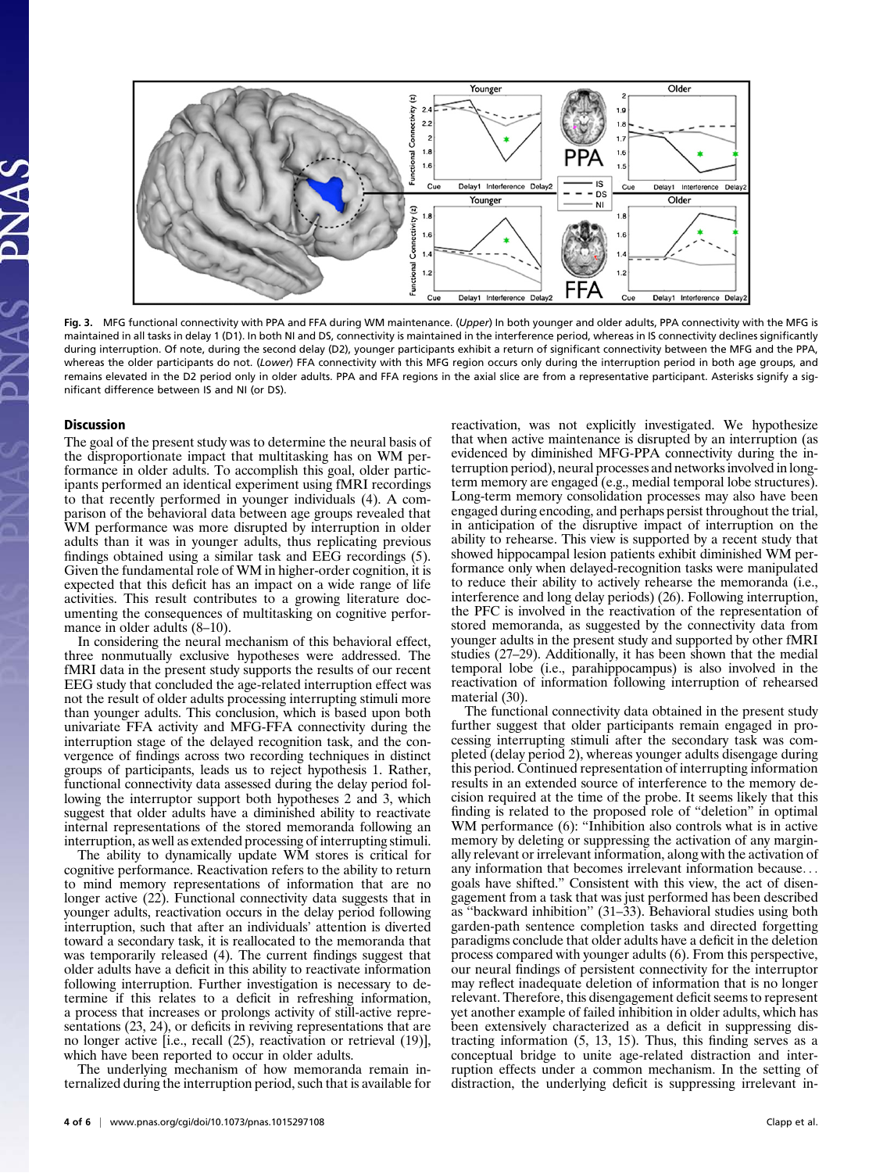

Fig. 3. MFG functional connectivity with PPA and FFA during WM maintenance. (Upper) In both younger and older adults, PPA connectivity with the MFG is maintained in all tasks in delay 1 (D1). In both NI and DS, connectivity is maintained in the interference period, whereas in IS connectivity declines significantly during interruption. Of note, during the second delay (D2), younger participants exhibit a return of significant connectivity between the MFG and the PPA, whereas the older participants do not. (Lower) FFA connectivity with this MFG region occurs only during the interruption period in both age groups, and remains elevated in the D2 period only in older adults. PPA and FFA regions in the axial slice are from a representative participant. Asterisks signify a significant difference between IS and NI (or DS).

## **Discussion**

The goal of the present study was to determine the neural basis of the disproportionate impact that multitasking has on WM performance in older adults. To accomplish this goal, older participants performed an identical experiment using fMRI recordings to that recently performed in younger individuals (4). A comparison of the behavioral data between age groups revealed that WM performance was more disrupted by interruption in older adults than it was in younger adults, thus replicating previous findings obtained using a similar task and EEG recordings (5). Given the fundamental role of WM in higher-order cognition, it is expected that this deficit has an impact on a wide range of life activities. This result contributes to a growing literature documenting the consequences of multitasking on cognitive performance in older adults (8–10).

In considering the neural mechanism of this behavioral effect, three nonmutually exclusive hypotheses were addressed. The fMRI data in the present study supports the results of our recent EEG study that concluded the age-related interruption effect was not the result of older adults processing interrupting stimuli more than younger adults. This conclusion, which is based upon both univariate FFA activity and MFG-FFA connectivity during the interruption stage of the delayed recognition task, and the convergence of findings across two recording techniques in distinct groups of participants, leads us to reject hypothesis 1. Rather, functional connectivity data assessed during the delay period following the interruptor support both hypotheses 2 and 3, which suggest that older adults have a diminished ability to reactivate internal representations of the stored memoranda following an interruption, as well as extended processing of interrupting stimuli.

The ability to dynamically update WM stores is critical for cognitive performance. Reactivation refers to the ability to return to mind memory representations of information that are no longer active (22). Functional connectivity data suggests that in younger adults, reactivation occurs in the delay period following interruption, such that after an individuals' attention is diverted toward a secondary task, it is reallocated to the memoranda that was temporarily released (4). The current findings suggest that older adults have a deficit in this ability to reactivate information following interruption. Further investigation is necessary to determine if this relates to a deficit in refreshing information, a process that increases or prolongs activity of still-active representations (23, 24), or deficits in reviving representations that are no longer active [i.e., recall (25), reactivation or retrieval (19)], which have been reported to occur in older adults.

The underlying mechanism of how memoranda remain internalized during the interruption period, such that is available for reactivation, was not explicitly investigated. We hypothesize that when active maintenance is disrupted by an interruption (as evidenced by diminished MFG-PPA connectivity during the interruption period), neural processes and networks involved in longterm memory are engaged (e.g., medial temporal lobe structures). Long-term memory consolidation processes may also have been engaged during encoding, and perhaps persist throughout the trial, in anticipation of the disruptive impact of interruption on the ability to rehearse. This view is supported by a recent study that showed hippocampal lesion patients exhibit diminished WM performance only when delayed-recognition tasks were manipulated to reduce their ability to actively rehearse the memoranda (i.e., interference and long delay periods) (26). Following interruption, the PFC is involved in the reactivation of the representation of stored memoranda, as suggested by the connectivity data from younger adults in the present study and supported by other fMRI studies (27–29). Additionally, it has been shown that the medial temporal lobe (i.e., parahippocampus) is also involved in the reactivation of information following interruption of rehearsed material (30).

The functional connectivity data obtained in the present study further suggest that older participants remain engaged in processing interrupting stimuli after the secondary task was completed (delay period 2), whereas younger adults disengage during this period. Continued representation of interrupting information results in an extended source of interference to the memory decision required at the time of the probe. It seems likely that this finding is related to the proposed role of "deletion" in optimal WM performance (6): "Inhibition also controls what is in active memory by deleting or suppressing the activation of any marginally relevant or irrelevant information, along with the activation of any information that becomes irrelevant information because... goals have shifted." Consistent with this view, the act of disengagement from a task that was just performed has been described as ''backward inhibition'' (31–33). Behavioral studies using both garden-path sentence completion tasks and directed forgetting paradigms conclude that older adults have a deficit in the deletion process compared with younger adults (6). From this perspective, our neural findings of persistent connectivity for the interruptor may reflect inadequate deletion of information that is no longer relevant. Therefore, this disengagement deficit seems to represent yet another example of failed inhibition in older adults, which has been extensively characterized as a deficit in suppressing distracting information (5, 13, 15). Thus, this finding serves as a conceptual bridge to unite age-related distraction and interruption effects under a common mechanism. In the setting of distraction, the underlying deficit is suppressing irrelevant in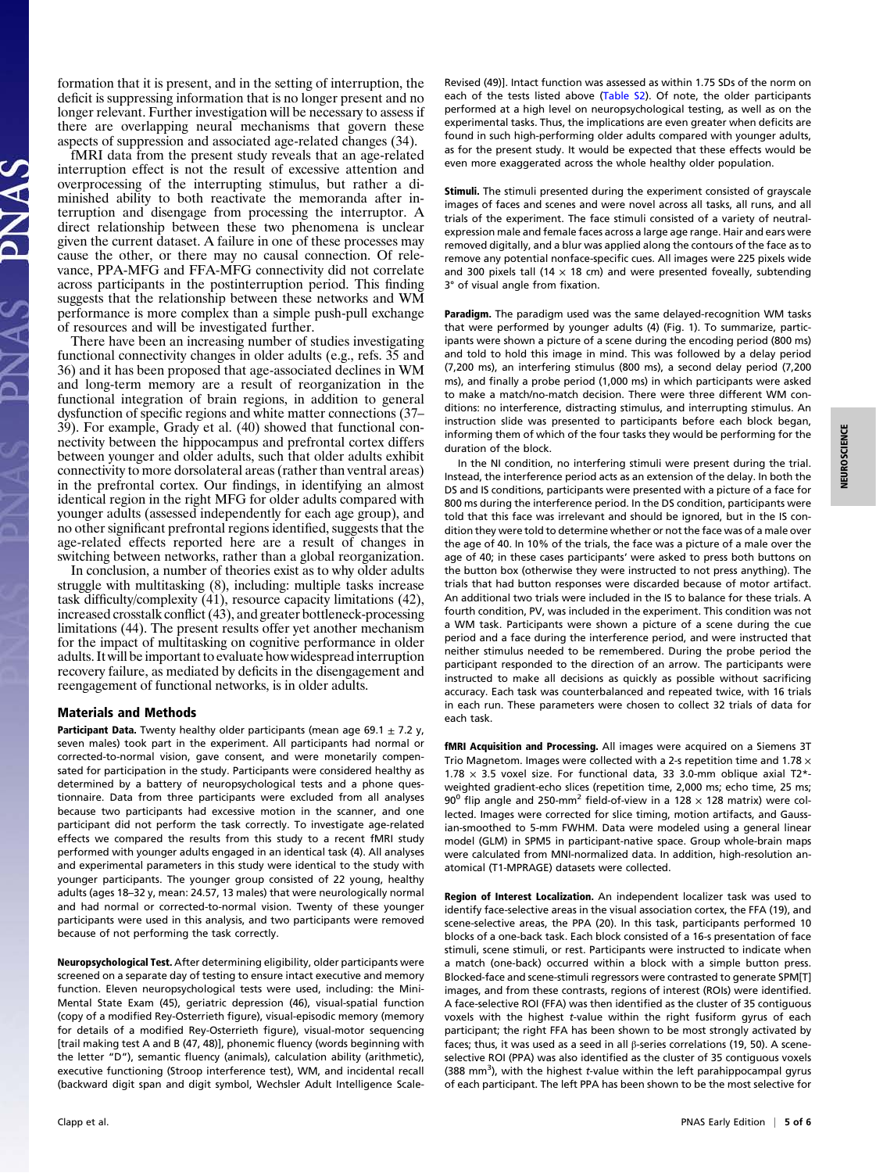formation that it is present, and in the setting of interruption, the deficit is suppressing information that is no longer present and no longer relevant. Further investigation will be necessary to assess if there are overlapping neural mechanisms that govern these aspects of suppression and associated age-related changes (34).

fMRI data from the present study reveals that an age-related interruption effect is not the result of excessive attention and overprocessing of the interrupting stimulus, but rather a diminished ability to both reactivate the memoranda after interruption and disengage from processing the interruptor. A direct relationship between these two phenomena is unclear given the current dataset. A failure in one of these processes may cause the other, or there may no causal connection. Of relevance, PPA-MFG and FFA-MFG connectivity did not correlate across participants in the postinterruption period. This finding suggests that the relationship between these networks and WM performance is more complex than a simple push-pull exchange of resources and will be investigated further.

There have been an increasing number of studies investigating functional connectivity changes in older adults (e.g., refs. 35 and 36) and it has been proposed that age-associated declines in WM and long-term memory are a result of reorganization in the functional integration of brain regions, in addition to general dysfunction of specific regions and white matter connections (37– 39). For example, Grady et al. (40) showed that functional connectivity between the hippocampus and prefrontal cortex differs between younger and older adults, such that older adults exhibit connectivity to more dorsolateral areas (rather than ventral areas) in the prefrontal cortex. Our findings, in identifying an almost identical region in the right MFG for older adults compared with younger adults (assessed independently for each age group), and no other significant prefrontal regions identified, suggests that the age-related effects reported here are a result of changes in switching between networks, rather than a global reorganization.

In conclusion, a number of theories exist as to why older adults struggle with multitasking (8), including: multiple tasks increase task difficulty/complexity (41), resource capacity limitations (42), increased crosstalk conflict (43), and greater bottleneck-processing limitations (44). The present results offer yet another mechanism for the impact of multitasking on cognitive performance in older adults. It will be important to evaluate how widespread interruption recovery failure, as mediated by deficits in the disengagement and reengagement of functional networks, is in older adults.

## Materials and Methods

**Participant Data.** Twenty healthy older participants (mean age 69.1  $\pm$  7.2 y, seven males) took part in the experiment. All participants had normal or corrected-to-normal vision, gave consent, and were monetarily compensated for participation in the study. Participants were considered healthy as determined by a battery of neuropsychological tests and a phone questionnaire. Data from three participants were excluded from all analyses because two participants had excessive motion in the scanner, and one participant did not perform the task correctly. To investigate age-related effects we compared the results from this study to a recent fMRI study performed with younger adults engaged in an identical task (4). All analyses and experimental parameters in this study were identical to the study with younger participants. The younger group consisted of 22 young, healthy adults (ages 18–32 y, mean: 24.57, 13 males) that were neurologically normal and had normal or corrected-to-normal vision. Twenty of these younger participants were used in this analysis, and two participants were removed because of not performing the task correctly.

Neuropsychological Test. After determining eligibility, older participants were screened on a separate day of testing to ensure intact executive and memory function. Eleven neuropsychological tests were used, including: the Mini-Mental State Exam (45), geriatric depression (46), visual-spatial function (copy of a modified Rey-Osterrieth figure), visual-episodic memory (memory for details of a modified Rey-Osterrieth figure), visual-motor sequencing [trail making test A and B (47, 48)], phonemic fluency (words beginning with the letter "D"), semantic fluency (animals), calculation ability (arithmetic), executive functioning (Stroop interference test), WM, and incidental recall (backward digit span and digit symbol, Wechsler Adult Intelligence ScaleRevised (49)]. Intact function was assessed as within 1.75 SDs of the norm on each of the tests listed above ([Table S2](http://www.pnas.org/lookup/suppl/doi:10.1073/pnas.1015297108/-/DCSupplemental/pnas.201015297SI.pdf?targetid=nameddest=ST2)). Of note, the older participants performed at a high level on neuropsychological testing, as well as on the experimental tasks. Thus, the implications are even greater when deficits are found in such high-performing older adults compared with younger adults, as for the present study. It would be expected that these effects would be even more exaggerated across the whole healthy older population.

Stimuli. The stimuli presented during the experiment consisted of grayscale images of faces and scenes and were novel across all tasks, all runs, and all trials of the experiment. The face stimuli consisted of a variety of neutralexpression male and female faces across a large age range. Hair and ears were removed digitally, and a blur was applied along the contours of the face as to remove any potential nonface-specific cues. All images were 225 pixels wide and 300 pixels tall (14  $\times$  18 cm) and were presented foveally, subtending 3° of visual angle from fixation.

Paradigm. The paradigm used was the same delayed-recognition WM tasks that were performed by younger adults (4) (Fig. 1). To summarize, participants were shown a picture of a scene during the encoding period (800 ms) and told to hold this image in mind. This was followed by a delay period (7,200 ms), an interfering stimulus (800 ms), a second delay period (7,200 ms), and finally a probe period (1,000 ms) in which participants were asked to make a match/no-match decision. There were three different WM conditions: no interference, distracting stimulus, and interrupting stimulus. An instruction slide was presented to participants before each block began, informing them of which of the four tasks they would be performing for the duration of the block.

In the NI condition, no interfering stimuli were present during the trial. Instead, the interference period acts as an extension of the delay. In both the DS and IS conditions, participants were presented with a picture of a face for 800 ms during the interference period. In the DS condition, participants were told that this face was irrelevant and should be ignored, but in the IS condition they were told to determine whether or not the face was of a male over the age of 40. In 10% of the trials, the face was a picture of a male over the age of 40; in these cases participants' were asked to press both buttons on the button box (otherwise they were instructed to not press anything). The trials that had button responses were discarded because of motor artifact. An additional two trials were included in the IS to balance for these trials. A fourth condition, PV, was included in the experiment. This condition was not a WM task. Participants were shown a picture of a scene during the cue period and a face during the interference period, and were instructed that neither stimulus needed to be remembered. During the probe period the participant responded to the direction of an arrow. The participants were instructed to make all decisions as quickly as possible without sacrificing accuracy. Each task was counterbalanced and repeated twice, with 16 trials in each run. These parameters were chosen to collect 32 trials of data for each task.

fMRI Acquisition and Processing. All images were acquired on a Siemens 3T Trio Magnetom. Images were collected with a 2-s repetition time and 1.78  $\times$  $1.78 \times 3.5$  voxel size. For functional data, 33 3.0-mm oblique axial T2\*weighted gradient-echo slices (repetition time, 2,000 ms; echo time, 25 ms; 90<sup>0</sup> flip angle and 250-mm<sup>2</sup> field-of-view in a 128  $\times$  128 matrix) were collected. Images were corrected for slice timing, motion artifacts, and Gaussian-smoothed to 5-mm FWHM. Data were modeled using a general linear model (GLM) in SPM5 in participant-native space. Group whole-brain maps were calculated from MNI-normalized data. In addition, high-resolution anatomical (T1-MPRAGE) datasets were collected.

Region of Interest Localization. An independent localizer task was used to identify face-selective areas in the visual association cortex, the FFA (19), and scene-selective areas, the PPA (20). In this task, participants performed 10 blocks of a one-back task. Each block consisted of a 16-s presentation of face stimuli, scene stimuli, or rest. Participants were instructed to indicate when a match (one-back) occurred within a block with a simple button press. Blocked-face and scene-stimuli regressors were contrasted to generate SPM[T] images, and from these contrasts, regions of interest (ROIs) were identified. A face-selective ROI (FFA) was then identified as the cluster of 35 contiguous voxels with the highest t-value within the right fusiform gyrus of each participant; the right FFA has been shown to be most strongly activated by faces; thus, it was used as a seed in all β-series correlations (19, 50). A sceneselective ROI (PPA) was also identified as the cluster of 35 contiguous voxels (388 mm<sup>3</sup>), with the highest t-value within the left parahippocampal gyrus of each participant. The left PPA has been shown to be the most selective for